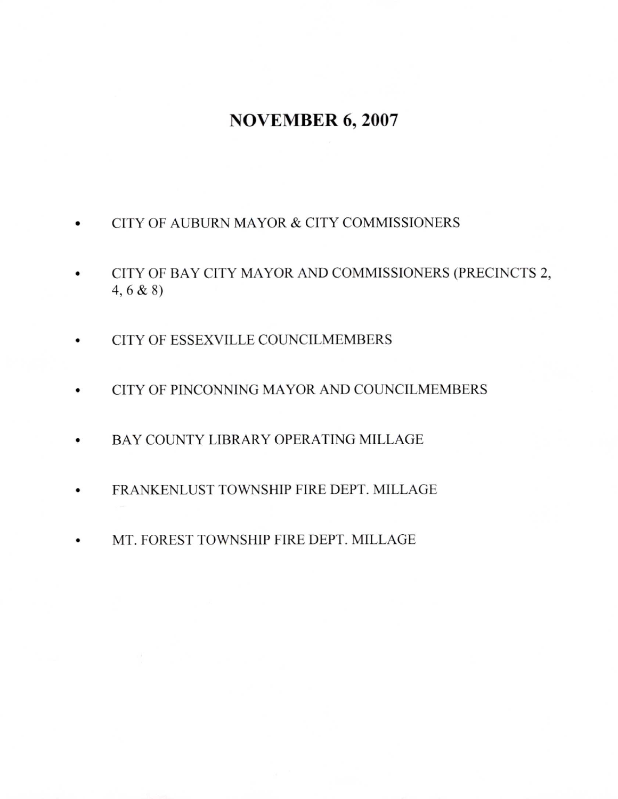## NOVEMBER 6,2007

- CITY OF AUBURN MAYOR & CITY COMMISSIONERS
- a CITY OF BAY CITY MAYOR AND COMMSSIONERS (PRECINCTS 2, 4,6 & 8)
- CITY OF ESSEXVILLE COUNCILMEMBERS o
- CITY OF PINCONNING MAYOR AND COUNCILMEMBERS o
- BAY COUNTY LIBRARY OPERATING MILLAGE o
- FRANKENLUST TOWNSHIP FIRE DEPT. MILLAGE a
- MT. FOREST TOWNSHIP FIRE DEPT. MILLAGE a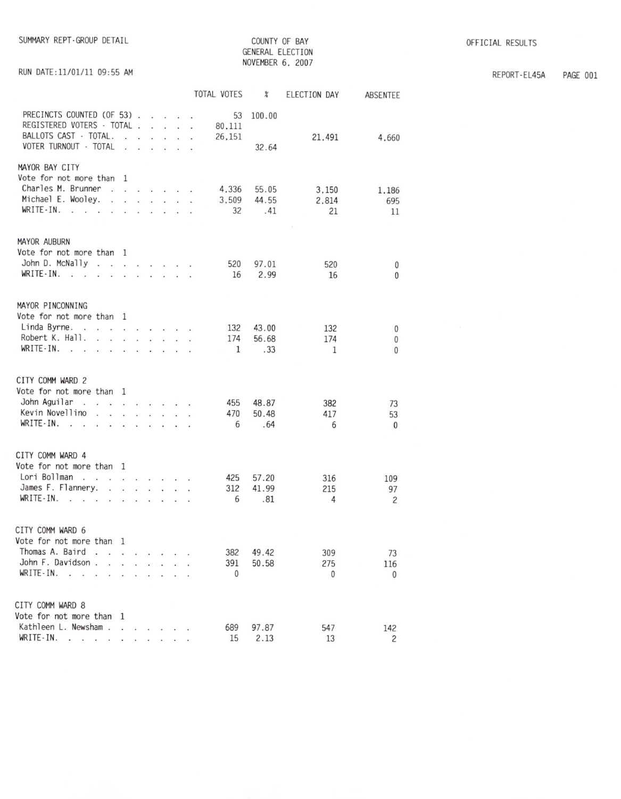RUN DATE:11/01/11 09:55 AM

COUNTY OF BAY GENERAL ELECTION NOVEMBER 6, 2007

REPORT-EL45A PAGE 001

|                                                                                                                                                                                                                                                   |                   |                                    |  |                                                                                                        | TOTAL VOTES            | $\chi$                | ELECTION DAY         | ABSENTEE           |
|---------------------------------------------------------------------------------------------------------------------------------------------------------------------------------------------------------------------------------------------------|-------------------|------------------------------------|--|--------------------------------------------------------------------------------------------------------|------------------------|-----------------------|----------------------|--------------------|
| PRECINCTS COUNTED (OF 53).<br>REGISTERED VOTERS - TOTAL.<br>BALLOTS CAST - TOTAL.                                                                                                                                                                 | $\sim$            | $\mathbf{r}$                       |  | $\mathcal{L}=\mathcal{L}=\mathcal{L}=\mathcal{L}$<br>and a state of<br>$\cdot$ $\cdot$ $\cdot$ $\cdot$ | 53<br>80,111<br>26,151 | 100.00                | 21,491               | 4.660              |
| VOTER TURNOUT - TOTAL                                                                                                                                                                                                                             | $\sim$            |                                    |  |                                                                                                        |                        | 32.64                 |                      |                    |
| MAYOR BAY CITY<br>Vote for not more than 1<br>Charles M. Brunner<br>Michael E. Wooley.<br>WRITE-IN.                                                                                                                                               |                   |                                    |  |                                                                                                        | 4,336<br>3,509<br>32   | 55.05<br>44.55<br>.41 | 3.150<br>2.814<br>21 | 1.186<br>695<br>11 |
| <b>MAYOR AUBURN</b>                                                                                                                                                                                                                               |                   |                                    |  |                                                                                                        |                        |                       |                      |                    |
| Vote for not more than 1                                                                                                                                                                                                                          |                   |                                    |  |                                                                                                        |                        |                       |                      |                    |
| John D. McNally<br>WRITE-IN.                                                                                                                                                                                                                      |                   |                                    |  |                                                                                                        | 520                    | 97.01                 | 520                  | $\mathbf 0$        |
| <b>A MAR REPORT A REPORT</b>                                                                                                                                                                                                                      |                   |                                    |  |                                                                                                        | 16                     | 2.99                  | 16                   | $\Omega$           |
| MAYOR PINCONNING                                                                                                                                                                                                                                  |                   |                                    |  |                                                                                                        |                        |                       |                      |                    |
| Vote for not more than 1<br>Linda Byrne.                                                                                                                                                                                                          |                   |                                    |  |                                                                                                        | 132                    | 43.00                 | 132                  |                    |
| Robert K. Hall.                                                                                                                                                                                                                                   |                   |                                    |  |                                                                                                        | 174                    | 56.68                 | 174                  | $\pmb{0}$<br>0     |
| WRITE - IN. $\cdots$                                                                                                                                                                                                                              |                   |                                    |  |                                                                                                        | 1                      | .33                   | $\mathbf{1}$         | $\mathbf{0}$       |
|                                                                                                                                                                                                                                                   |                   |                                    |  |                                                                                                        |                        |                       |                      |                    |
| CITY COMM WARD 2                                                                                                                                                                                                                                  |                   |                                    |  |                                                                                                        |                        |                       |                      |                    |
| Vote for not more than 1                                                                                                                                                                                                                          |                   |                                    |  |                                                                                                        |                        |                       |                      |                    |
| John Aguilar<br>$\frac{1}{2}$ . The state of the state of the state of the state of the state of the state of the state of the state of the state of the state of the state of the state of the state of the state of the state of the state of t |                   |                                    |  |                                                                                                        | 455                    | 48.87                 | 382                  | 73                 |
| Kevin Novellino                                                                                                                                                                                                                                   |                   |                                    |  |                                                                                                        | 470                    | 50.48                 | 417                  | 53                 |
| WRITE-IN. $\ldots$ $\ldots$ $\ldots$ $\ldots$                                                                                                                                                                                                     |                   |                                    |  |                                                                                                        | - 6                    | .64                   | 6                    | $\mathbf{0}$       |
|                                                                                                                                                                                                                                                   |                   |                                    |  |                                                                                                        |                        |                       |                      |                    |
| CITY COMM WARD 4                                                                                                                                                                                                                                  |                   |                                    |  |                                                                                                        |                        |                       |                      |                    |
| Vote for not more than 1                                                                                                                                                                                                                          |                   |                                    |  |                                                                                                        |                        |                       |                      |                    |
| Lori Bollman                                                                                                                                                                                                                                      |                   |                                    |  |                                                                                                        | 425                    | 57.20                 | 316                  | 109                |
| James F. Flannery                                                                                                                                                                                                                                 | $\sim$            | $\sim$ $\sim$ $\sim$ $\sim$ $\sim$ |  |                                                                                                        | 312                    | 41.99                 | 215                  | 97                 |
| $WRITE-IN.$                                                                                                                                                                                                                                       |                   | $\sim$ $\sim$                      |  |                                                                                                        | 6                      | .81                   | 4                    | $\overline{c}$     |
|                                                                                                                                                                                                                                                   |                   |                                    |  |                                                                                                        |                        |                       |                      |                    |
| CITY COMM WARD 6<br>Vote for not more than 1                                                                                                                                                                                                      |                   |                                    |  |                                                                                                        |                        |                       |                      |                    |
| Thomas A. Baird                                                                                                                                                                                                                                   |                   |                                    |  |                                                                                                        | 382                    | 49.42                 | 309                  | 73                 |
| John F. Davidson.<br>V.                                                                                                                                                                                                                           | and in            | $\mathcal{L}^{\mathcal{L}}$        |  |                                                                                                        | 391                    | 50.58                 | 275                  | 116                |
| WRITE-IN.<br><b>Section</b><br>$\ddot{\phantom{a}}$<br>$\sim$<br>$\epsilon$                                                                                                                                                                       | $\cdot$ $\cdot$   |                                    |  |                                                                                                        | $\mathbf{0}$           |                       | $\Omega$             | $\mathbf{0}$       |
|                                                                                                                                                                                                                                                   |                   |                                    |  |                                                                                                        |                        |                       |                      |                    |
| CITY COMM WARD 8                                                                                                                                                                                                                                  |                   |                                    |  |                                                                                                        |                        |                       |                      |                    |
| Vote for not more than 1                                                                                                                                                                                                                          |                   |                                    |  |                                                                                                        |                        |                       |                      |                    |
| Kathleen L. Newsham.                                                                                                                                                                                                                              | <b>CONTRACTOR</b> |                                    |  |                                                                                                        | 689                    | 97.87                 | 547                  | 142                |
| WRITE-IN.<br>the contract of the contract of the contract of the contract of the contract of the contract of the contract of                                                                                                                      |                   |                                    |  |                                                                                                        | 15                     | 2.13                  | 13                   | $\overline{c}$     |